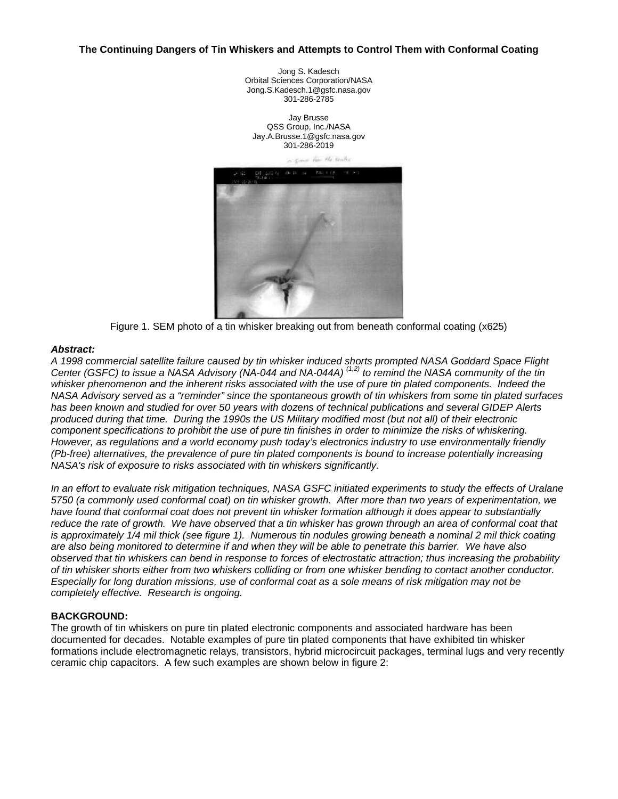#### **The Continuing Dangers of Tin Whiskers and Attempts to Control Them with Conformal Coating**

Jong S. Kadesch Orbital Sciences Corporation/NASA Jong.S.Kadesch.1@gsfc.nasa.gov 301-286-2785

Jay Brusse QSS Group, Inc./NASA Jay.A.Brusse.1@gsfc.nasa.gov 301-286-2019

> has the center  $\sim$



Figure 1. SEM photo of a tin whisker breaking out from beneath conformal coating (x625)

#### *Abstract:*

*A 1998 commercial satellite failure caused by tin whisker induced shorts prompted NASA Goddard Space Flight Center (GSFC) to issue a NASA Advisory (NA-044 and NA-044A) (1,2) to remind the NASA community of the tin whisker phenomenon and the inherent risks associated with the use of pure tin plated components. Indeed the NASA Advisory served as a "reminder" since the spontaneous growth of tin whiskers from some tin plated surfaces has been known and studied for over 50 years with dozens of technical publications and several GIDEP Alerts produced during that time. During the 1990s the US Military modified most (but not all) of their electronic component specifications to prohibit the use of pure tin finishes in order to minimize the risks of whiskering. However, as regulations and a world economy push today's electronics industry to use environmentally friendly (Pb-free) alternatives, the prevalence of pure tin plated components is bound to increase potentially increasing NASA's risk of exposure to risks associated with tin whiskers significantly.*

*In an effort to evaluate risk mitigation techniques, NASA GSFC initiated experiments to study the effects of Uralane 5750 (a commonly used conformal coat) on tin whisker growth. After more than two years of experimentation, we have found that conformal coat does not prevent tin whisker formation although it does appear to substantially reduce the rate of growth. We have observed that a tin whisker has grown through an area of conformal coat that is approximately 1/4 mil thick (see figure 1). Numerous tin nodules growing beneath a nominal 2 mil thick coating are also being monitored to determine if and when they will be able to penetrate this barrier. We have also observed that tin whiskers can bend in response to forces of electrostatic attraction; thus increasing the probability of tin whisker shorts either from two whiskers colliding or from one whisker bending to contact another conductor. Especially for long duration missions, use of conformal coat as a sole means of risk mitigation may not be completely effective. Research is ongoing.*

#### **BACKGROUND:**

The growth of tin whiskers on pure tin plated electronic components and associated hardware has been documented for decades. Notable examples of pure tin plated components that have exhibited tin whisker formations include electromagnetic relays, transistors, hybrid microcircuit packages, terminal lugs and very recently ceramic chip capacitors. A few such examples are shown below in figure 2: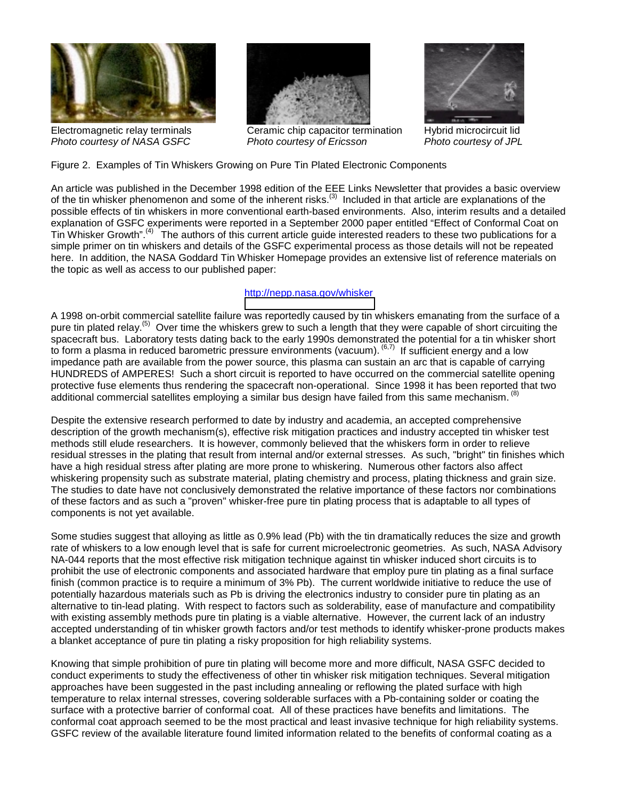

Electromagnetic relay terminals *Photo courtesy of NASA GSFC*



Ceramic chip capacitor termination *Photo courtesy of Ericsson*



Hybrid microcircuit lid *Photo courtesy of JPL*

Figure 2. Examples of Tin Whiskers Growing on Pure Tin Plated Electronic Components

An article was published in the December 1998 edition of the EEE Links Newsletter that provides a basic overview of the tin whisker phenomenon and some of the inherent risks.<sup>(3)</sup> Included in that article are explanations of the possible effects of tin whiskers in more conventional earth-based environments. Also, interim results and a detailed explanation of GSFC experiments were reported in a September 2000 paper entitled "Effect of Conformal Coat on Tin Whisker Growth".<sup>(4)</sup> The authors of this current article guide interested readers to these two publications for a simple primer on tin whiskers and details of the GSFC experimental process as those details will not be repeated here. In addition, the NASA Goddard Tin Whisker Homepage provides an extensive list of reference materials on the topic as well as access to our published paper:

## <http://nepp.nasa.gov/whisker>

A 1998 on-orbit commercial satellite failure was reportedly caused by tin whiskers emanating from the surface of a pure tin plated relay.<sup>(5)</sup> Over time the whiskers grew to such a length that they were capable of short circuiting the spacecraft bus. Laboratory tests dating back to the early 1990s demonstrated the potential for a tin whisker short to form a plasma in reduced barometric pressure environments (vacuum). <sup>(6,7)</sup> If sufficient energy and a low impedance path are available from the power source, this plasma can sustain an arc that is capable of carrying HUNDREDS of AMPERES! Such a short circuit is reported to have occurred on the commercial satellite opening protective fuse elements thus rendering the spacecraft non-operational. Since 1998 it has been reported that two additional commercial satellites employing a similar bus design have failed from this same mechanism. <sup>(8)</sup>

Despite the extensive research performed to date by industry and academia, an accepted comprehensive description of the growth mechanism(s), effective risk mitigation practices and industry accepted tin whisker test methods still elude researchers. It is however, commonly believed that the whiskers form in order to relieve residual stresses in the plating that result from internal and/or external stresses. As such, "bright" tin finishes which have a high residual stress after plating are more prone to whiskering. Numerous other factors also affect whiskering propensity such as substrate material, plating chemistry and process, plating thickness and grain size. The studies to date have not conclusively demonstrated the relative importance of these factors nor combinations of these factors and as such a "proven" whisker-free pure tin plating process that is adaptable to all types of components is not yet available.

Some studies suggest that alloying as little as 0.9% lead (Pb) with the tin dramatically reduces the size and growth rate of whiskers to a low enough level that is safe for current microelectronic geometries. As such, NASA Advisory NA-044 reports that the most effective risk mitigation technique against tin whisker induced short circuits is to prohibit the use of electronic components and associated hardware that employ pure tin plating as a final surface finish (common practice is to require a minimum of 3% Pb). The current worldwide initiative to reduce the use of potentially hazardous materials such as Pb is driving the electronics industry to consider pure tin plating as an alternative to tin-lead plating. With respect to factors such as solderability, ease of manufacture and compatibility with existing assembly methods pure tin plating is a viable alternative. However, the current lack of an industry accepted understanding of tin whisker growth factors and/or test methods to identify whisker-prone products makes a blanket acceptance of pure tin plating a risky proposition for high reliability systems.

Knowing that simple prohibition of pure tin plating will become more and more difficult, NASA GSFC decided to conduct experiments to study the effectiveness of other tin whisker risk mitigation techniques. Several mitigation approaches have been suggested in the past including annealing or reflowing the plated surface with high temperature to relax internal stresses, covering solderable surfaces with a Pb-containing solder or coating the surface with a protective barrier of conformal coat. All of these practices have benefits and limitations. The conformal coat approach seemed to be the most practical and least invasive technique for high reliability systems. GSFC review of the available literature found limited information related to the benefits of conformal coating as a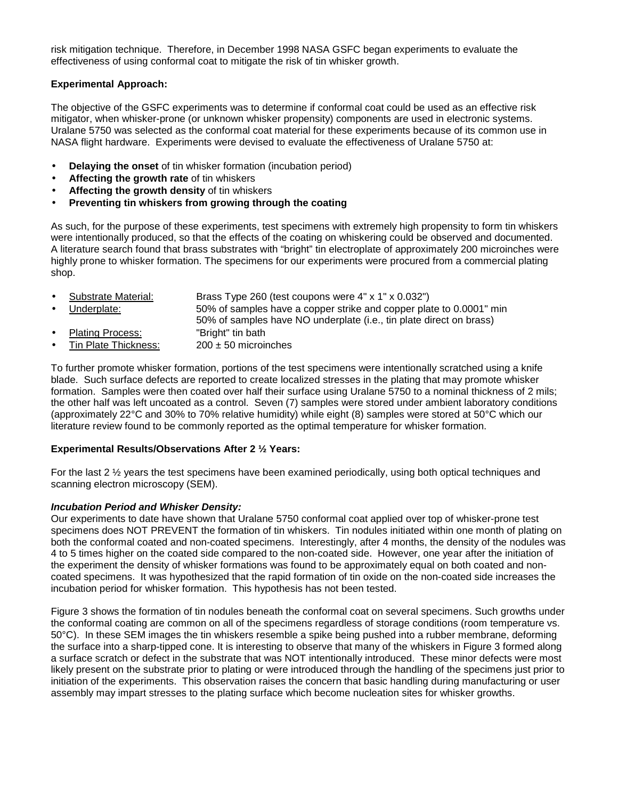risk mitigation technique. Therefore, in December 1998 NASA GSFC began experiments to evaluate the effectiveness of using conformal coat to mitigate the risk of tin whisker growth.

## **Experimental Approach:**

The objective of the GSFC experiments was to determine if conformal coat could be used as an effective risk mitigator, when whisker-prone (or unknown whisker propensity) components are used in electronic systems. Uralane 5750 was selected as the conformal coat material for these experiments because of its common use in NASA flight hardware. Experiments were devised to evaluate the effectiveness of Uralane 5750 at:

- **Delaying the onset** of tin whisker formation (incubation period)
- **Affecting the growth rate** of tin whiskers
- **Affecting the growth density** of tin whiskers
- **Preventing tin whiskers from growing through the coating**

As such, for the purpose of these experiments, test specimens with extremely high propensity to form tin whiskers were intentionally produced, so that the effects of the coating on whiskering could be observed and documented. A literature search found that brass substrates with "bright" tin electroplate of approximately 200 microinches were highly prone to whisker formation. The specimens for our experiments were procured from a commercial plating shop.

- Substrate Material: Brass Type 260 (test coupons were 4" x 1" x 0.032")
- Underplate: 50% of samples have a copper strike and copper plate to 0.0001" min 50% of samples have NO underplate (i.e., tin plate direct on brass) • Plating Process: "Bright" tin bath
- Tin Plate Thickness:  $200 \pm 50$  microinches

To further promote whisker formation, portions of the test specimens were intentionally scratched using a knife blade. Such surface defects are reported to create localized stresses in the plating that may promote whisker formation. Samples were then coated over half their surface using Uralane 5750 to a nominal thickness of 2 mils; the other half was left uncoated as a control. Seven (7) samples were stored under ambient laboratory conditions (approximately 22°C and 30% to 70% relative humidity) while eight (8) samples were stored at 50°C which our literature review found to be commonly reported as the optimal temperature for whisker formation.

#### **Experimental Results/Observations After 2 ½ Years:**

For the last 2 ½ years the test specimens have been examined periodically, using both optical techniques and scanning electron microscopy (SEM).

#### *Incubation Period and Whisker Density:*

Our experiments to date have shown that Uralane 5750 conformal coat applied over top of whisker-prone test specimens does NOT PREVENT the formation of tin whiskers. Tin nodules initiated within one month of plating on both the conformal coated and non-coated specimens. Interestingly, after 4 months, the density of the nodules was 4 to 5 times higher on the coated side compared to the non-coated side. However, one year after the initiation of the experiment the density of whisker formations was found to be approximately equal on both coated and noncoated specimens. It was hypothesized that the rapid formation of tin oxide on the non-coated side increases the incubation period for whisker formation. This hypothesis has not been tested.

Figure 3 shows the formation of tin nodules beneath the conformal coat on several specimens. Such growths under the conformal coating are common on all of the specimens regardless of storage conditions (room temperature vs. 50°C). In these SEM images the tin whiskers resemble a spike being pushed into a rubber membrane, deforming the surface into a sharp-tipped cone. It is interesting to observe that many of the whiskers in Figure 3 formed along a surface scratch or defect in the substrate that was NOT intentionally introduced. These minor defects were most likely present on the substrate prior to plating or were introduced through the handling of the specimens just prior to initiation of the experiments. This observation raises the concern that basic handling during manufacturing or user assembly may impart stresses to the plating surface which become nucleation sites for whisker growths.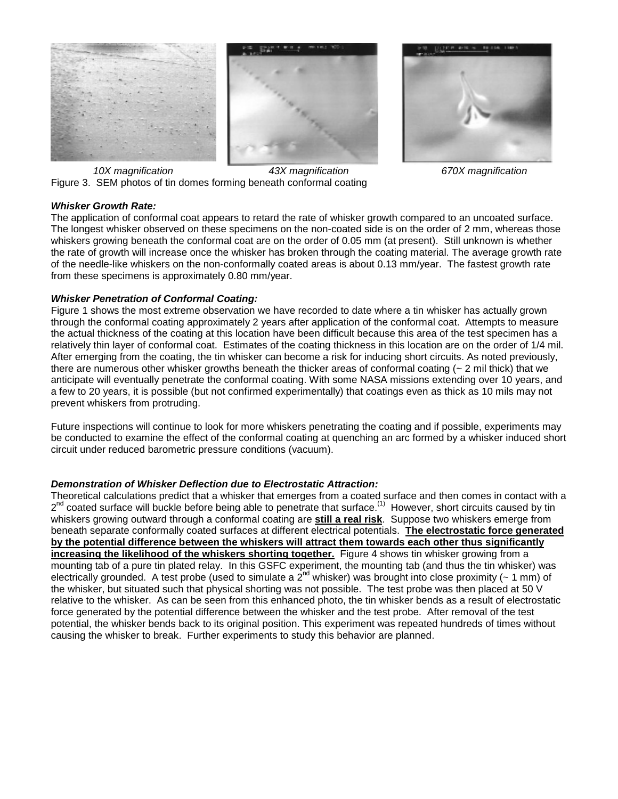



*10X magnification 43X magnification 670X magnification* Figure 3. SEM photos of tin domes forming beneath conformal coating

## *Whisker Growth Rate:*

The application of conformal coat appears to retard the rate of whisker growth compared to an uncoated surface. The longest whisker observed on these specimens on the non-coated side is on the order of 2 mm, whereas those whiskers growing beneath the conformal coat are on the order of 0.05 mm (at present). Still unknown is whether the rate of growth will increase once the whisker has broken through the coating material. The average growth rate of the needle-like whiskers on the non-conformally coated areas is about 0.13 mm/year. The fastest growth rate from these specimens is approximately 0.80 mm/year.

## *Whisker Penetration of Conformal Coating:*

Figure 1 shows the most extreme observation we have recorded to date where a tin whisker has actually grown through the conformal coating approximately 2 years after application of the conformal coat. Attempts to measure the actual thickness of the coating at this location have been difficult because this area of the test specimen has a relatively thin layer of conformal coat. Estimates of the coating thickness in this location are on the order of 1/4 mil. After emerging from the coating, the tin whisker can become a risk for inducing short circuits. As noted previously, there are numerous other whisker growths beneath the thicker areas of conformal coating  $($   $\sim$  2 mil thick) that we anticipate will eventually penetrate the conformal coating. With some NASA missions extending over 10 years, and a few to 20 years, it is possible (but not confirmed experimentally) that coatings even as thick as 10 mils may not prevent whiskers from protruding.

Future inspections will continue to look for more whiskers penetrating the coating and if possible, experiments may be conducted to examine the effect of the conformal coating at quenching an arc formed by a whisker induced short circuit under reduced barometric pressure conditions (vacuum).

## *Demonstration of Whisker Deflection due to Electrostatic Attraction:*

Theoretical calculations predict that a whisker that emerges from a coated surface and then comes in contact with a  $2^{nd}$  coated surface will buckle before being able to penetrate that surface.<sup>(1)</sup> However, short circuits caused by tin whiskers growing outward through a conformal coating are **still a real risk**. Suppose two whiskers emerge from beneath separate conformally coated surfaces at different electrical potentials. **The electrostatic force generated by the potential difference between the whiskers will attract them towards each other thus significantly increasing the likelihood of the whiskers shorting together.** Figure 4 shows tin whisker growing from a mounting tab of a pure tin plated relay. In this GSFC experiment, the mounting tab (and thus the tin whisker) was electrically grounded. A test probe (used to simulate a  $2^{nd}$  whisker) was brought into close proximity (~ 1 mm) of the whisker, but situated such that physical shorting was not possible. The test probe was then placed at 50 V relative to the whisker. As can be seen from this enhanced photo, the tin whisker bends as a result of electrostatic force generated by the potential difference between the whisker and the test probe. After removal of the test potential, the whisker bends back to its original position. This experiment was repeated hundreds of times without causing the whisker to break. Further experiments to study this behavior are planned.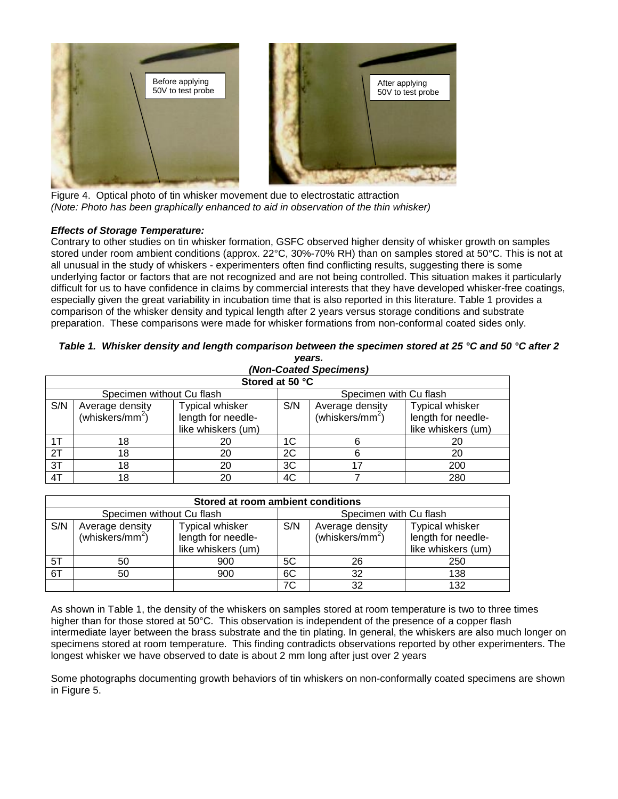

Figure 4. Optical photo of tin whisker movement due to electrostatic attraction *(Note: Photo has been graphically enhanced to aid in observation of the thin whisker)*

# *Effects of Storage Temperature:*

Contrary to other studies on tin whisker formation, GSFC observed higher density of whisker growth on samples stored under room ambient conditions (approx. 22°C, 30%-70% RH) than on samples stored at 50°C. This is not at all unusual in the study of whiskers - experimenters often find conflicting results, suggesting there is some underlying factor or factors that are not recognized and are not being controlled. This situation makes it particularly difficult for us to have confidence in claims by commercial interests that they have developed whisker-free coatings, especially given the great variability in incubation time that is also reported in this literature. Table 1 provides a comparison of the whisker density and typical length after 2 years versus storage conditions and substrate preparation. These comparisons were made for whisker formations from non-conformal coated sides only.

|                           | y <del>c</del> ar ə.<br>(Non-Coated Specimens) |                                                                    |                        |                                                |                                                             |  |  |  |
|---------------------------|------------------------------------------------|--------------------------------------------------------------------|------------------------|------------------------------------------------|-------------------------------------------------------------|--|--|--|
| Stored at 50 °C           |                                                |                                                                    |                        |                                                |                                                             |  |  |  |
| Specimen without Cu flash |                                                |                                                                    | Specimen with Cu flash |                                                |                                                             |  |  |  |
| S/N                       | Average density<br>(whiskers/mm <sup>2</sup> ) | <b>Typical whisker</b><br>length for needle-<br>like whiskers (um) | S/N                    | Average density<br>(whiskers/mm <sup>2</sup> ) | Typical whisker<br>length for needle-<br>like whiskers (um) |  |  |  |
| 1T                        | 18                                             | 20                                                                 | 1C                     |                                                | 20                                                          |  |  |  |
| $\overline{2T}$           | 18                                             | 20                                                                 | 2C                     |                                                | 20                                                          |  |  |  |
| 3T                        | 18                                             | 20                                                                 | 3C                     | 17                                             | 200                                                         |  |  |  |
| 4T                        | 18                                             | 20                                                                 | 4C                     |                                                | 280                                                         |  |  |  |

#### *Table 1. Whisker density and length comparison between the specimen stored at 25 °C and 50 °C after 2 years.*

| Stored at room ambient conditions |                                                |                                                             |     |                                                |                                                                    |  |  |  |
|-----------------------------------|------------------------------------------------|-------------------------------------------------------------|-----|------------------------------------------------|--------------------------------------------------------------------|--|--|--|
|                                   | Specimen without Cu flash                      |                                                             |     | Specimen with Cu flash                         |                                                                    |  |  |  |
| S/N                               | Average density<br>(whiskers/mm <sup>2</sup> ) | Typical whisker<br>length for needle-<br>like whiskers (um) | S/N | Average density<br>(whiskers/mm <sup>2</sup> ) | <b>Typical whisker</b><br>length for needle-<br>like whiskers (um) |  |  |  |
| 5T                                | 50                                             | 900                                                         | 5C  | 26                                             | 250                                                                |  |  |  |
| 6T                                | 50                                             | 900                                                         | 6C  | 32                                             | 138                                                                |  |  |  |
|                                   |                                                |                                                             | 7C  | 32                                             | 132                                                                |  |  |  |

As shown in Table 1, the density of the whiskers on samples stored at room temperature is two to three times higher than for those stored at 50°C. This observation is independent of the presence of a copper flash intermediate layer between the brass substrate and the tin plating. In general, the whiskers are also much longer on specimens stored at room temperature. This finding contradicts observations reported by other experimenters. The longest whisker we have observed to date is about 2 mm long after just over 2 years

Some photographs documenting growth behaviors of tin whiskers on non-conformally coated specimens are shown in Figure 5.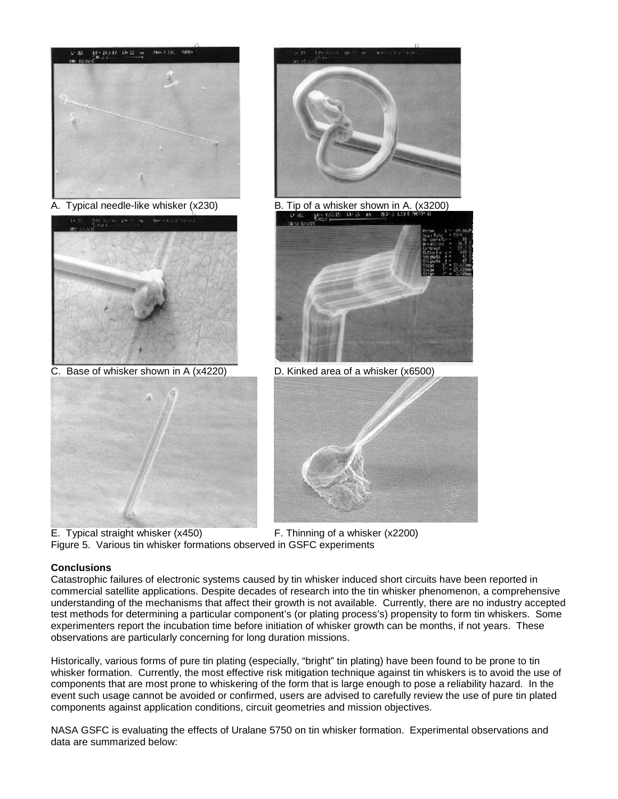



C. Base of whisker shown in A (x4220) D. Kinked area of a whisker (x6500)





A. Typical needle-like whisker (x230) B. Tip of a whisker shown in A. (x3200)





E. Typical straight whisker (x450) F. Thinning of a whisker (x2200) Figure 5. Various tin whisker formations observed in GSFC experiments

# **Conclusions**

Catastrophic failures of electronic systems caused by tin whisker induced short circuits have been reported in commercial satellite applications. Despite decades of research into the tin whisker phenomenon, a comprehensive understanding of the mechanisms that affect their growth is not available. Currently, there are no industry accepted test methods for determining a particular component's (or plating process's) propensity to form tin whiskers. Some experimenters report the incubation time before initiation of whisker growth can be months, if not years. These observations are particularly concerning for long duration missions.

Historically, various forms of pure tin plating (especially, "bright" tin plating) have been found to be prone to tin whisker formation. Currently, the most effective risk mitigation technique against tin whiskers is to avoid the use of components that are most prone to whiskering of the form that is large enough to pose a reliability hazard. In the event such usage cannot be avoided or confirmed, users are advised to carefully review the use of pure tin plated components against application conditions, circuit geometries and mission objectives.

NASA GSFC is evaluating the effects of Uralane 5750 on tin whisker formation. Experimental observations and data are summarized below: